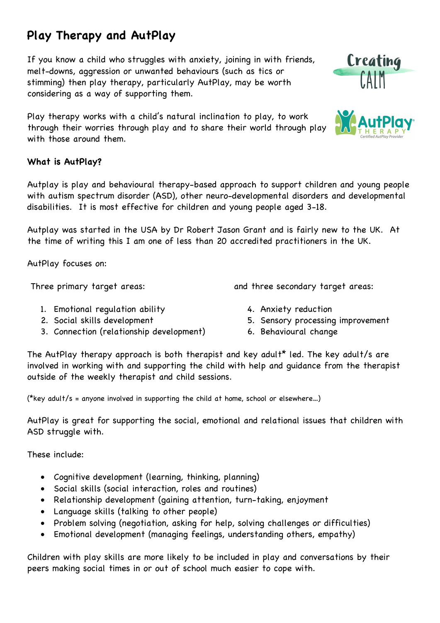## **Play Therapy and AutPlay**

If you know a child who struggles with anxiety, joining in with friends, melt-downs, aggression or unwanted behaviours (such as tics or stimming) then play therapy, particularly AutPlay, may be worth considering as a way of supporting them.

Play therapy works with a child's natural inclination to play, to work through their worries through play and to share their world through play with those around them.

## **What is AutPlay?**

Autplay is play and behavioural therapy-based approach to support children and young people with autism spectrum disorder (ASD), other neuro-developmental disorders and developmental disabilities. It is most effective for children and young people aged 3-18.

Autplay was started in the USA by Dr Robert Jason Grant and is fairly new to the UK. At the time of writing this I am one of less than 20 accredited practitioners in the UK.

AutPlay focuses on:

Three primary target areas:

- 1. Emotional regulation ability
- 2. Social skills development
- 3. Connection (relationship development)
- 4. Anxiety reduction

and three secondary target areas:

- 5. Sensory processing improvement
- 6. Behavioural change

The AutPlay therapy approach is both therapist and key adult<sup>\*</sup> led. The key adult/s are involved in working with and supporting the child with help and guidance from the therapist outside of the weekly therapist and child sessions.

(\*key adult/s = anyone involved in supporting the child at home, school or elsewhere…)

AutPlay is great for supporting the social, emotional and relational issues that children with ASD struggle with.

These include:

- Cognitive development (learning, thinking, planning)
- Social skills (social interaction, roles and routines)
- Relationship development (gaining attention, turn-taking, enjoyment
- Language skills (talking to other people)
- Problem solving (negotiation, asking for help, solving challenges or difficulties)
- Emotional development (managing feelings, understanding others, empathy)

Children with play skills are more likely to be included in play and conversations by their peers making social times in or out of school much easier to cope with.